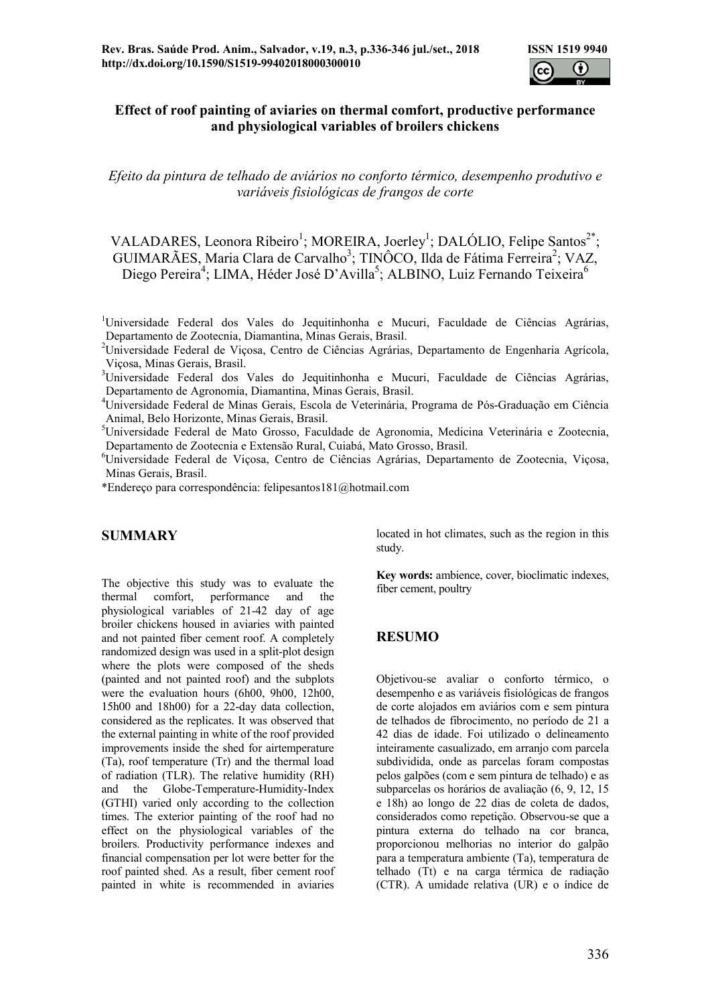

#### Effect of roof painting of aviaries on thermal comfort, productive performance and physiological variables of broilers chickens

Efeito da pintura de telhado de aviários no conforto térmico, desempenho produtivo e variáveis fisiológicas de frangos de corte

VALADARES, Leonora Ribeiro<sup>1</sup>; MOREIRA, Joerley<sup>1</sup>; DALÓLIO, Felipe Santos<sup>2\*</sup>; GUIMARÃES, Maria Clara de Carvalho<sup>3</sup>; TINÔCO, Ilda de Fátima Ferreira<sup>2</sup>; VAZ, Diego Pereira<sup>4</sup>; LIMA, Héder José D'Avilla<sup>5</sup>; ALBINO, Luiz Fernando Teixeira<sup>6</sup>

<sup>1</sup>Universidade Federal dos Vales do Jequitinhonha e Mucuri, Faculdade de Ciências Agrárias, Departamento de Zootecnia, Diamantina, Minas Gerais, Brasil.

<sup>2</sup>Universidade Federal de Viçosa, Centro de Ciências Agrárias, Departamento de Engenharia Agrícola, Viçosa, Minas Gerais, Brasil.

<sup>3</sup>Universidade Federal dos Vales do Jequitinhonha e Mucuri, Faculdade de Ciências Agrárias, Departamento de Agronomia, Diamantina, Minas Gerais, Brasil.

<sup>4</sup>Universidade Federal de Minas Gerais, Escola de Veterinária, Programa de Pós-Graduação em Ciência Animal, Belo Horizonte, Minas Gerais, Brasil.

<sup>5</sup>Universidade Federal de Mato Grosso, Faculdade de Agronomia, Medicina Veterinária e Zootecnia, Departamento de Zootecnia e Extensão Rural, Cuiabá, Mato Grosso, Brasil.

<sup>6</sup>Universidade Federal de Viçosa, Centro de Ciências Agrárias, Departamento de Zootecnia, Viçosa, Minas Gerais, Brasil.

\*Endereço para correspondência: felipesantos181@hotmail.com

#### SUMMARY

The objective this study was to evaluate the<br>thermal comfort performance and the performance and the physiological variables of 21-42 day of age broiler chickens housed in aviaries with painted and not painted fiber cement roof. A completely randomized design was used in a split-plot design where the plots were composed of the sheds (painted and not painted roof) and the subplots were the evaluation hours (6h00, 9h00, 12h00, 15h00 and 18h00) for a 22-day data collection, considered as the replicates. It was observed that the external painting in white of the roof provided improvements inside the shed for airtemperature (Ta), roof temperature (Tr) and the thermal load of radiation (TLR). The relative humidity (RH) and the Globe-Temperature-Humidity-Index (GTHI) varied only according to the collection times. The exterior painting of the roof had no effect on the physiological variables of the broilers. Productivity performance indexes and financial compensation per lot were better for the roof painted shed. As a result, fiber cement roof painted in white is recommended in aviaries

located in hot climates, such as the region in this study.

Key words: ambience, cover, bioclimatic indexes, fiber cement, poultry

#### RESUMO

Objetivou-se avaliar o conforto térmico, o desempenho e as variáveis fisiológicas de frangos de corte alojados em aviários com e sem pintura de telhados de fibrocimento, no período de 21 a 42 dias de idade. Foi utilizado o delineamento inteiramente casualizado, em arranjo com parcela subdividida, onde as parcelas foram compostas pelos galpões (com e sem pintura de telhado) e as subparcelas os horários de avaliação (6, 9, 12, 15 e 18h) ao longo de 22 dias de coleta de dados, considerados como repetição. Observou-se que a pintura externa do telhado na cor branca, proporcionou melhorias no interior do galpão para a temperatura ambiente (Ta), temperatura de telhado (Tt) e na carga térmica de radiação (CTR). A umidade relativa (UR) e o índice de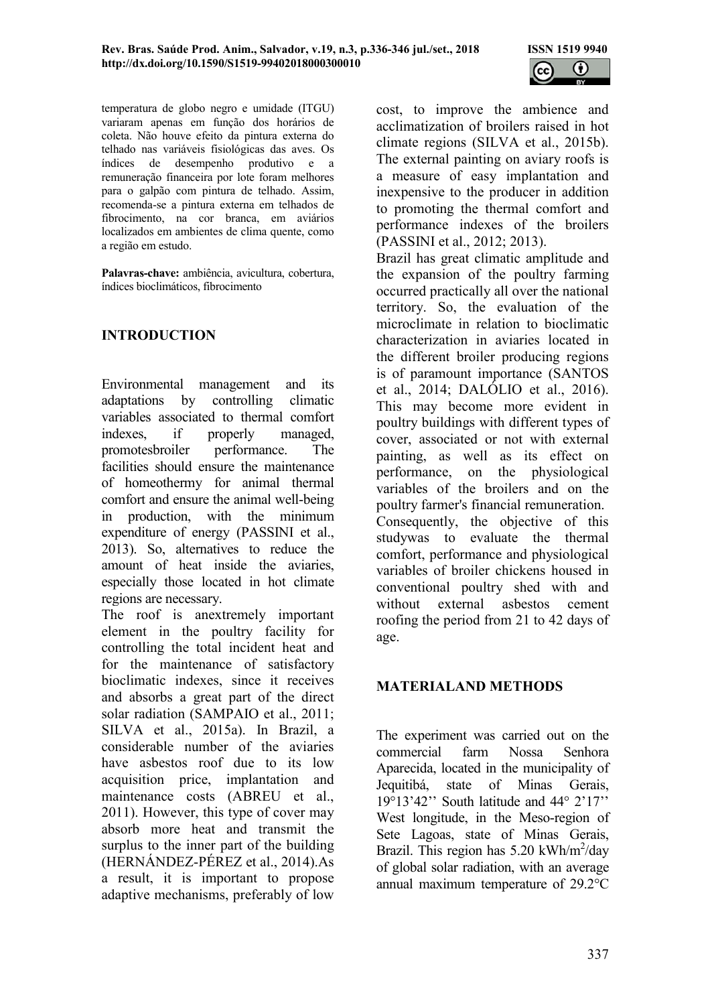

temperatura de globo negro e umidade (ITGU) variaram apenas em função dos horários de coleta. Não houve efeito da pintura externa do telhado nas variáveis fisiológicas das aves. Os índices de desempenho produtivo e a remuneração financeira por lote foram melhores para o galpão com pintura de telhado. Assim, recomenda-se a pintura externa em telhados de fibrocimento, na cor branca, em aviários localizados em ambientes de clima quente, como a região em estudo.

Palavras-chave: ambiência, avicultura, cobertura, índices bioclimáticos, fibrocimento

# INTRODUCTION

Environmental management and its adaptations by controlling climatic variables associated to thermal comfort indexes, if properly managed, promotesbroiler performance. The facilities should ensure the maintenance of homeothermy for animal thermal comfort and ensure the animal well-being in production, with the minimum expenditure of energy (PASSINI et al., 2013). So, alternatives to reduce the amount of heat inside the aviaries, especially those located in hot climate regions are necessary.

The roof is anextremely important element in the poultry facility for controlling the total incident heat and for the maintenance of satisfactory bioclimatic indexes, since it receives and absorbs a great part of the direct solar radiation (SAMPAIO et al., 2011; SILVA et al., 2015a). In Brazil, a considerable number of the aviaries have asbestos roof due to its low acquisition price, implantation and maintenance costs (ABREU et al., 2011). However, this type of cover may absorb more heat and transmit the surplus to the inner part of the building (HERNÁNDEZ-PÉREZ et al., 2014).As a result, it is important to propose adaptive mechanisms, preferably of low

cost, to improve the ambience and acclimatization of broilers raised in hot climate regions (SILVA et al., 2015b). The external painting on aviary roofs is a measure of easy implantation and inexpensive to the producer in addition to promoting the thermal comfort and performance indexes of the broilers (PASSINI et al., 2012; 2013).

Brazil has great climatic amplitude and the expansion of the poultry farming occurred practically all over the national territory. So, the evaluation of the microclimate in relation to bioclimatic characterization in aviaries located in the different broiler producing regions is of paramount importance (SANTOS et al., 2014; DALÓLIO et al., 2016). This may become more evident in poultry buildings with different types of cover, associated or not with external painting, as well as its effect on performance, on the physiological variables of the broilers and on the poultry farmer's financial remuneration. Consequently, the objective of this studywas to evaluate the thermal comfort, performance and physiological variables of broiler chickens housed in conventional poultry shed with and without external asbestos cement roofing the period from 21 to 42 days of age.

## MATERIALAND METHODS

The experiment was carried out on the commercial farm Nossa Senhora Aparecida, located in the municipality of Jequitibá, state of Minas Gerais, 19°13'42'' South latitude and 44° 2'17'' West longitude, in the Meso-region of Sete Lagoas, state of Minas Gerais, Brazil. This region has 5.20 kWh/m<sup>2</sup>/day of global solar radiation, with an average annual maximum temperature of 29.2°C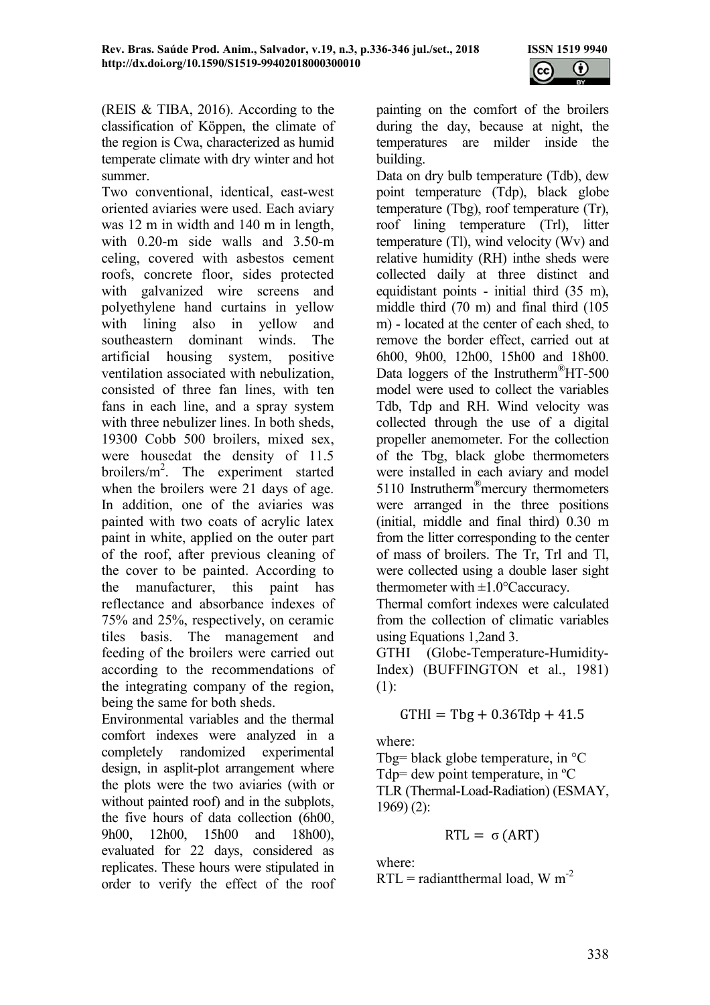

(REIS & TIBA, 2016). According to the classification of Köppen, the climate of the region is Cwa, characterized as humid temperate climate with dry winter and hot summer.

Two conventional, identical, east-west oriented aviaries were used. Each aviary was 12 m in width and 140 m in length, with 0.20-m side walls and 3.50-m celing, covered with asbestos cement roofs, concrete floor, sides protected with galvanized wire screens and polyethylene hand curtains in yellow with lining also in yellow and southeastern dominant winds. The artificial housing system, positive ventilation associated with nebulization, consisted of three fan lines, with ten fans in each line, and a spray system with three nebulizer lines. In both sheds, 19300 Cobb 500 broilers, mixed sex, were housedat the density of 11.5 broilers/ $m^2$ . The experiment started when the broilers were 21 days of age. In addition, one of the aviaries was painted with two coats of acrylic latex paint in white, applied on the outer part of the roof, after previous cleaning of the cover to be painted. According to the manufacturer, this paint has reflectance and absorbance indexes of 75% and 25%, respectively, on ceramic tiles basis. The management and feeding of the broilers were carried out according to the recommendations of the integrating company of the region, being the same for both sheds.

Environmental variables and the thermal comfort indexes were analyzed in a completely randomized experimental design, in asplit-plot arrangement where the plots were the two aviaries (with or without painted roof) and in the subplots, the five hours of data collection (6h00, 9h00, 12h00, 15h00 and 18h00), evaluated for 22 days, considered as replicates. These hours were stipulated in order to verify the effect of the roof painting on the comfort of the broilers during the day, because at night, the temperatures are milder inside the building.

Data on dry bulb temperature (Tdb), dew point temperature (Tdp), black globe temperature (Tbg), roof temperature (Tr), roof lining temperature (Trl), litter temperature (Tl), wind velocity (Wv) and relative humidity (RH) inthe sheds were collected daily at three distinct and equidistant points - initial third (35 m), middle third (70 m) and final third (105 m) - located at the center of each shed, to remove the border effect, carried out at 6h00, 9h00, 12h00, 15h00 and 18h00. Data loggers of the Instrutherm<sup>®</sup>HT-500 model were used to collect the variables Tdb, Tdp and RH. Wind velocity was collected through the use of a digital propeller anemometer. For the collection of the Tbg, black globe thermometers were installed in each aviary and model 5110 Instrutherm<sup>®</sup>mercury thermometers were arranged in the three positions (initial, middle and final third) 0.30 m from the litter corresponding to the center of mass of broilers. The Tr, Trl and Tl, were collected using a double laser sight thermometer with  $\pm 1.0$ °Caccuracy.

Thermal comfort indexes were calculated from the collection of climatic variables using Equations 1,2and 3.

GTHI (Globe-Temperature-Humidity-Index) (BUFFINGTON et al., 1981) (1):

 $GTHI = Tbg + 0.36Tdp + 41.5$ 

where:

Tbg= black globe temperature, in  $\mathrm{C}$ Tdp= dew point temperature, in ºC TLR (Thermal-Load-Radiation) (ESMAY, 1969) (2):

$$
RTL = \sigma (ART)
$$

where:

 $RTL =$  radiantthermal load, W m<sup>-2</sup>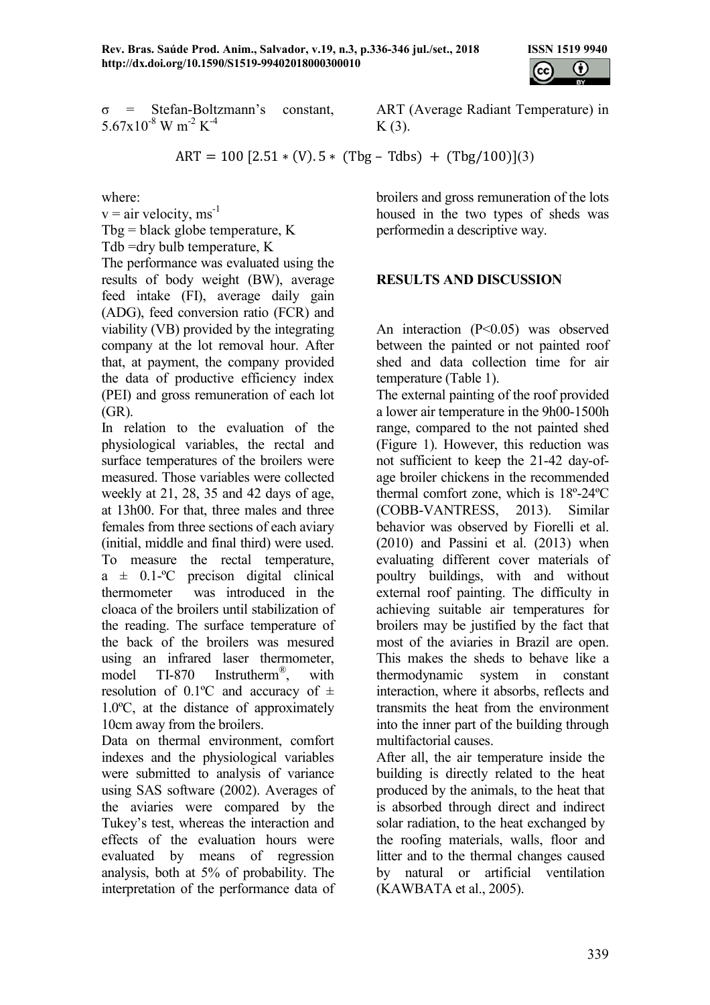

$$
\sigma = \text{Stefan-Boltzmann's constant},
$$
  
5.67x10<sup>-8</sup> W m<sup>-2</sup> K<sup>-4</sup>

ART (Average Radiant Temperature) in  $K(3)$ .

 $ART = 100 [2.51 * (V). 5 * (Tbg - Tdbs) + (Tbg/100)](3)$ 

where:

 $v = air$  velocity, ms<sup>-1</sup> Tbg = black globe temperature,  $K$ Tdb =dry bulb temperature, K

The performance was evaluated using the results of body weight (BW), average feed intake (FI), average daily gain (ADG), feed conversion ratio (FCR) and viability (VB) provided by the integrating company at the lot removal hour. After that, at payment, the company provided the data of productive efficiency index (PEI) and gross remuneration of each lot (GR).

In relation to the evaluation of the physiological variables, the rectal and surface temperatures of the broilers were measured. Those variables were collected weekly at 21, 28, 35 and 42 days of age, at 13h00. For that, three males and three females from three sections of each aviary (initial, middle and final third) were used. To measure the rectal temperature,  $a \pm 0.1$ -°C precison digital clinical thermometer was introduced in the cloaca of the broilers until stabilization of the reading. The surface temperature of the back of the broilers was mesured using an infrared laser thermometer, model TI-870 Instrutherm® , with resolution of 0.1°C and accuracy of  $\pm$ 1.0ºC, at the distance of approximately 10cm away from the broilers.

Data on thermal environment, comfort indexes and the physiological variables were submitted to analysis of variance using SAS software (2002). Averages of the aviaries were compared by the Tukey's test, whereas the interaction and effects of the evaluation hours were evaluated by means of regression analysis, both at 5% of probability. The interpretation of the performance data of

broilers and gross remuneration of the lots housed in the two types of sheds was performedin a descriptive way.

## RESULTS AND DISCUSSION

An interaction (P<0.05) was observed between the painted or not painted roof shed and data collection time for air temperature (Table 1).

The external painting of the roof provided a lower air temperature in the 9h00-1500h range, compared to the not painted shed (Figure 1). However, this reduction was not sufficient to keep the 21-42 day-ofage broiler chickens in the recommended thermal comfort zone, which is 18º-24ºC (COBB-VANTRESS, 2013). Similar behavior was observed by Fiorelli et al. (2010) and Passini et al. (2013) when evaluating different cover materials of poultry buildings, with and without external roof painting. The difficulty in achieving suitable air temperatures for broilers may be justified by the fact that most of the aviaries in Brazil are open. This makes the sheds to behave like a thermodynamic system in constant interaction, where it absorbs, reflects and transmits the heat from the environment into the inner part of the building through multifactorial causes.

After all, the air temperature inside the building is directly related to the heat produced by the animals, to the heat that is absorbed through direct and indirect solar radiation, to the heat exchanged by the roofing materials, walls, floor and litter and to the thermal changes caused by natural or artificial ventilation (KAWBATA et al., 2005).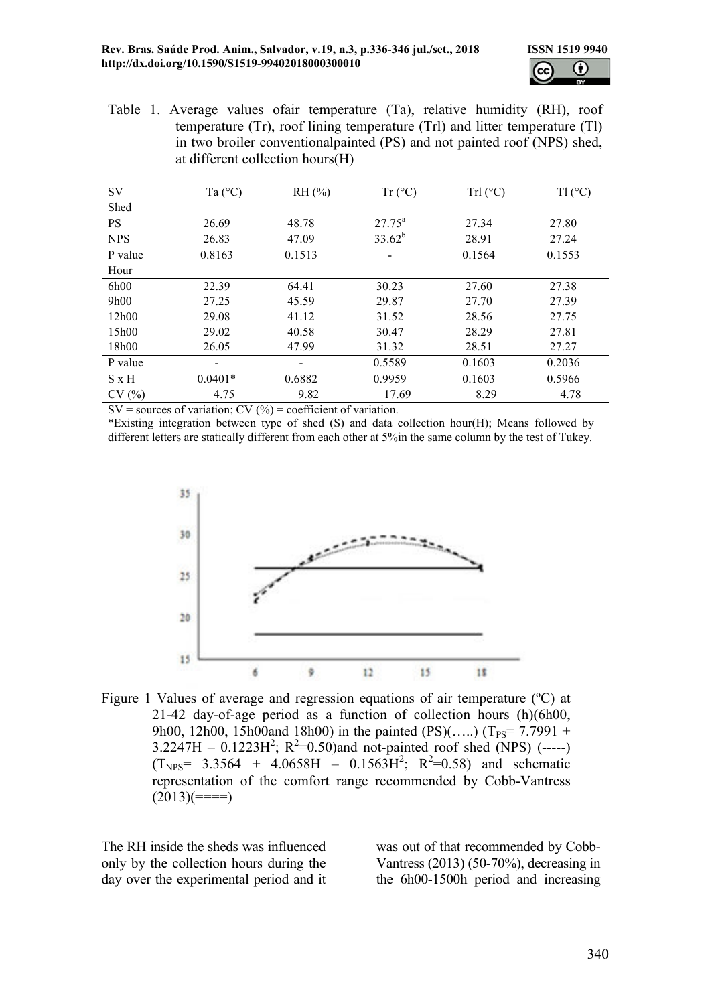

Table 1. Average values ofair temperature (Ta), relative humidity (RH), roof temperature (Tr), roof lining temperature (Trl) and litter temperature (Tl) in two broiler conventionalpainted (PS) and not painted roof (NPS) shed, at different collection hours(H)

| SV           | Ta $(^{\circ}C)$         | $RH$ (%) | $Tr(^{\circ}C)$           | $Trl(^{\circ}C)$ | $T1(^{\circ}C)$ |
|--------------|--------------------------|----------|---------------------------|------------------|-----------------|
| Shed         |                          |          |                           |                  |                 |
| <b>PS</b>    | 26.69                    | 48.78    | $27.75^{\circ}$           | 27.34            | 27.80           |
| <b>NPS</b>   | 26.83                    | 47.09    | $33.62^{b}$               | 28.91            | 27.24           |
| P value      | 0.8163                   | 0.1513   | 0.1564<br>$\qquad \qquad$ |                  | 0.1553          |
| Hour         |                          |          |                           |                  |                 |
| 6h00         | 22.39                    | 64.41    | 30.23                     | 27.60            | 27.38           |
| 9h00         | 27.25                    | 45.59    | 29.87                     | 27.70            | 27.39           |
| 12h00        | 29.08                    | 41.12    | 31.52                     | 28.56            | 27.75           |
| 15h00        | 29.02                    | 40.58    | 30.47                     | 28.29            | 27.81           |
| 18h00        | 26.05                    | 47.99    | 31.32                     | 28.51            | 27.27           |
| P value      | $\overline{\phantom{0}}$ | -        | 0.5589                    | 0.1603           | 0.2036          |
| $S \times H$ | $0.0401*$                | 0.6882   | 0.9959                    | 0.1603           | 0.5966          |
| CV(%)        | 4.75                     | 9.82     | 17.69                     | 8.29             | 4.78            |

 $SV =$  sources of variation;  $CV(%) =$  coefficient of variation.

\*Existing integration between type of shed (S) and data collection hour(H); Means followed by different letters are statically different from each other at 5%in the same column by the test of Tukey.



Figure 1 Values of average and regression equations of air temperature (<sup>o</sup>C) at 21-42 day-of-age period as a function of collection hours (h)(6h00, 9h00, 12h00, 15h00and 18h00) in the painted  $(PS)$ (....) (T<sub>PS</sub>= 7.7991 +  $3.2247H - 0.1223H^2$ ; R<sup>2</sup>=0.50)and not-painted roof shed (NPS) (-----)  $(T_{NPS} = 3.3564 + 4.0658H - 0.1563H^2$ ;  $R^2 = 0.58$ ) and schematic representation of the comfort range recommended by Cobb-Vantress  $(2013)(===)=)$ 

The RH inside the sheds was influenced only by the collection hours during the day over the experimental period and it was out of that recommended by Cobb-Vantress (2013) (50-70%), decreasing in the 6h00-1500h period and increasing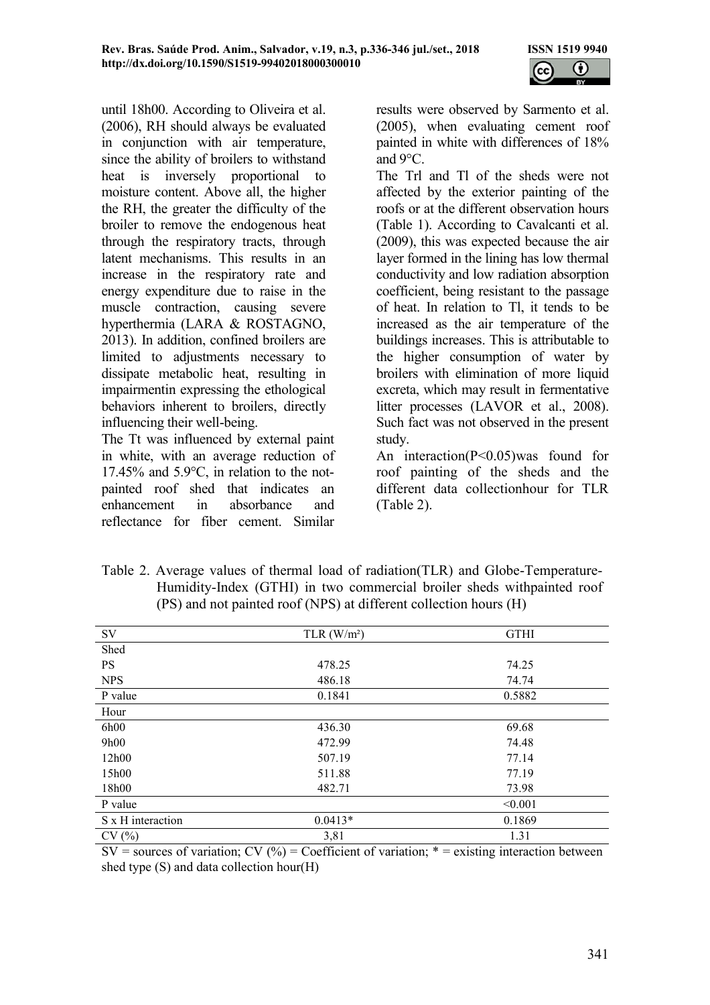

until 18h00. According to Oliveira et al. (2006), RH should always be evaluated in conjunction with air temperature, since the ability of broilers to withstand heat is inversely proportional to moisture content. Above all, the higher the RH, the greater the difficulty of the broiler to remove the endogenous heat through the respiratory tracts, through latent mechanisms. This results in an increase in the respiratory rate and energy expenditure due to raise in the muscle contraction, causing severe hyperthermia (LARA & ROSTAGNO, 2013). In addition, confined broilers are limited to adjustments necessary to dissipate metabolic heat, resulting in impairmentin expressing the ethological behaviors inherent to broilers, directly influencing their well-being.

The Tt was influenced by external paint in white, with an average reduction of 17.45% and 5.9°C, in relation to the notpainted roof shed that indicates an enhancement in absorbance and reflectance for fiber cement. Similar

results were observed by Sarmento et al. (2005), when evaluating cement roof painted in white with differences of 18% and 9°C.

The Trl and Tl of the sheds were not affected by the exterior painting of the roofs or at the different observation hours (Table 1). According to Cavalcanti et al. (2009), this was expected because the air layer formed in the lining has low thermal conductivity and low radiation absorption coefficient, being resistant to the passage of heat. In relation to Tl, it tends to be increased as the air temperature of the buildings increases. This is attributable to the higher consumption of water by broilers with elimination of more liquid excreta, which may result in fermentative litter processes (LAVOR et al., 2008). Such fact was not observed in the present study.

An interaction(P<0.05)was found for roof painting of the sheds and the different data collectionhour for TLR (Table 2).

| Table 2. Average values of thermal load of radiation (TLR) and Globe-Temperature- |
|-----------------------------------------------------------------------------------|
| Humidity-Index (GTHI) in two commercial broiler sheds with painted roof           |
| (PS) and not painted roof (NPS) at different collection hours (H)                 |

| SV                | TLR $(W/m^2)$ | <b>GTHI</b> |
|-------------------|---------------|-------------|
| Shed              |               |             |
| <b>PS</b>         | 478.25        | 74.25       |
| <b>NPS</b>        | 486.18        | 74.74       |
| P value           | 0.1841        | 0.5882      |
| Hour              |               |             |
| 6h00              | 436.30        | 69.68       |
| 9h00              | 472.99        | 74.48       |
| 12h00             | 507.19        | 77.14       |
| 15h00             | 511.88        | 77.19       |
| 18h00             | 482.71        | 73.98       |
| P value           |               | < 0.001     |
| S x H interaction | $0.0413*$     | 0.1869      |
| CV(%)             | 3,81          | 1.31        |

 $SV =$  sources of variation;  $CV(%) = Coefficient of variation; * = existing interaction between$ shed type (S) and data collection hour(H)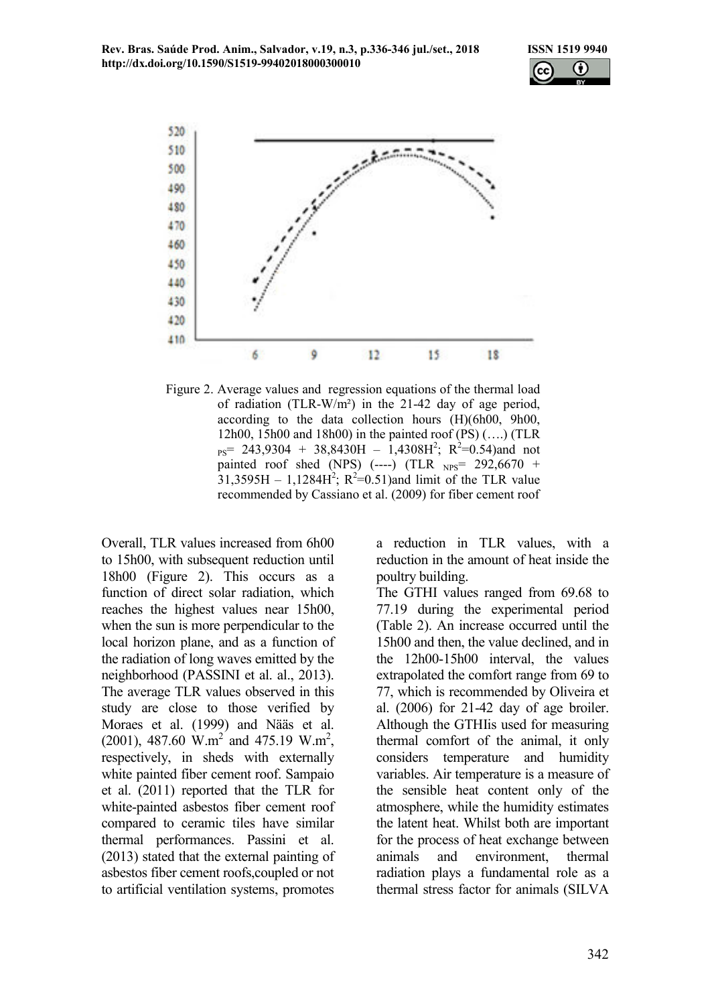Rev. Bras. Saúde Prod. Anim., Salvador, v.19, n.3, p.336-346 jul./set., 2018 ISSN 1519 9940 http://dx.doi.org/10.1590/S1519-99402018000300010





Figure 2. Average values and regression equations of the thermal load of radiation (TLR-W/m²) in the 21-42 day of age period, according to the data collection hours (H)(6h00, 9h00, 12h00, 15h00 and 18h00) in the painted roof (PS) (….) (TLR  $_{PS}$  = 243,9304 + 38,8430H – 1,4308H<sup>2</sup>; R<sup>2</sup>=0.54)and not painted roof shed (NPS)  $(---)$  (TLR  $_{NPS}$ = 292,6670 +  $31,3595H - 1,1284H^2$ ;  $R^2 = 0.51$ ) and limit of the TLR value recommended by Cassiano et al. (2009) for fiber cement roof

Overall, TLR values increased from 6h00 to 15h00, with subsequent reduction until 18h00 (Figure 2). This occurs as a function of direct solar radiation, which reaches the highest values near 15h00, when the sun is more perpendicular to the local horizon plane, and as a function of the radiation of long waves emitted by the neighborhood (PASSINI et al. al., 2013). The average TLR values observed in this study are close to those verified by Moraes et al. (1999) and Nääs et al.  $(2001)$ , 487.60 W.m<sup>2</sup> and 475.19 W.m<sup>2</sup>, respectively, in sheds with externally white painted fiber cement roof. Sampaio et al. (2011) reported that the TLR for white-painted asbestos fiber cement roof compared to ceramic tiles have similar thermal performances. Passini et al. (2013) stated that the external painting of asbestos fiber cement roofs,coupled or not to artificial ventilation systems, promotes

a reduction in TLR values, with a reduction in the amount of heat inside the poultry building.

The GTHI values ranged from 69.68 to 77.19 during the experimental period (Table 2). An increase occurred until the 15h00 and then, the value declined, and in the 12h00-15h00 interval, the values extrapolated the comfort range from 69 to 77, which is recommended by Oliveira et al. (2006) for 21-42 day of age broiler. Although the GTHIis used for measuring thermal comfort of the animal, it only considers temperature and humidity variables. Air temperature is a measure of the sensible heat content only of the atmosphere, while the humidity estimates the latent heat. Whilst both are important for the process of heat exchange between animals and environment, thermal radiation plays a fundamental role as a thermal stress factor for animals (SILVA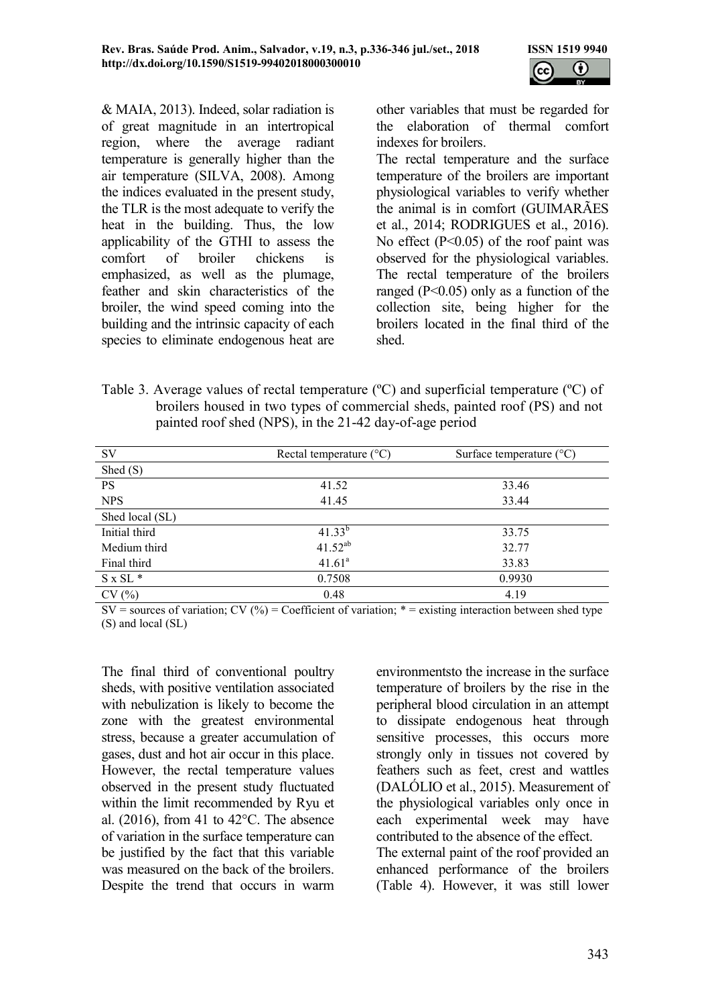

& MAIA, 2013). Indeed, solar radiation is of great magnitude in an intertropical region, where the average radiant temperature is generally higher than the air temperature (SILVA, 2008). Among the indices evaluated in the present study, the TLR is the most adequate to verify the heat in the building. Thus, the low applicability of the GTHI to assess the comfort of broiler chickens is emphasized, as well as the plumage, feather and skin characteristics of the broiler, the wind speed coming into the building and the intrinsic capacity of each species to eliminate endogenous heat are other variables that must be regarded for the elaboration of thermal comfort indexes for broilers.

The rectal temperature and the surface temperature of the broilers are important physiological variables to verify whether the animal is in comfort (GUIMARÃES et al., 2014; RODRIGUES et al., 2016). No effect (P<0.05) of the roof paint was observed for the physiological variables. The rectal temperature of the broilers ranged ( $P \le 0.05$ ) only as a function of the collection site, being higher for the broilers located in the final third of the shed.

Table 3. Average values of rectal temperature (ºC) and superficial temperature (ºC) of broilers housed in two types of commercial sheds, painted roof (PS) and not painted roof shed (NPS), in the 21-42 day-of-age period

| <b>SV</b>       | Rectal temperature $(^{\circ}C)$ | Surface temperature $(^{\circ}C)$ |  |  |
|-----------------|----------------------------------|-----------------------------------|--|--|
| Shed $(S)$      |                                  |                                   |  |  |
| <b>PS</b>       | 41.52                            | 33.46                             |  |  |
| <b>NPS</b>      | 41.45                            | 33.44                             |  |  |
| Shed local (SL) |                                  |                                   |  |  |
| Initial third   | $41.33^{b}$                      | 33.75                             |  |  |
| Medium third    | $41.52^{ab}$                     | 32.77                             |  |  |
| Final third     | 41.61 <sup>a</sup>               | 33.83                             |  |  |
| $S \times SL^*$ | 0.7508                           | 0.9930                            |  |  |
| CV(%)           | 0.48                             | 4.19                              |  |  |

 $SV =$  sources of variation;  $CV(%) = Coefficient of variation; * = existing interaction between shed type$ (S) and local (SL)

The final third of conventional poultry sheds, with positive ventilation associated with nebulization is likely to become the zone with the greatest environmental stress, because a greater accumulation of gases, dust and hot air occur in this place. However, the rectal temperature values observed in the present study fluctuated within the limit recommended by Ryu et al.  $(2016)$ , from 41 to 42 $^{\circ}$ C. The absence of variation in the surface temperature can be justified by the fact that this variable was measured on the back of the broilers. Despite the trend that occurs in warm

environmentsto the increase in the surface temperature of broilers by the rise in the peripheral blood circulation in an attempt to dissipate endogenous heat through sensitive processes, this occurs more strongly only in tissues not covered by feathers such as feet, crest and wattles (DALÓLIO et al., 2015). Measurement of the physiological variables only once in each experimental week may have contributed to the absence of the effect. The external paint of the roof provided an enhanced performance of the broilers (Table 4). However, it was still lower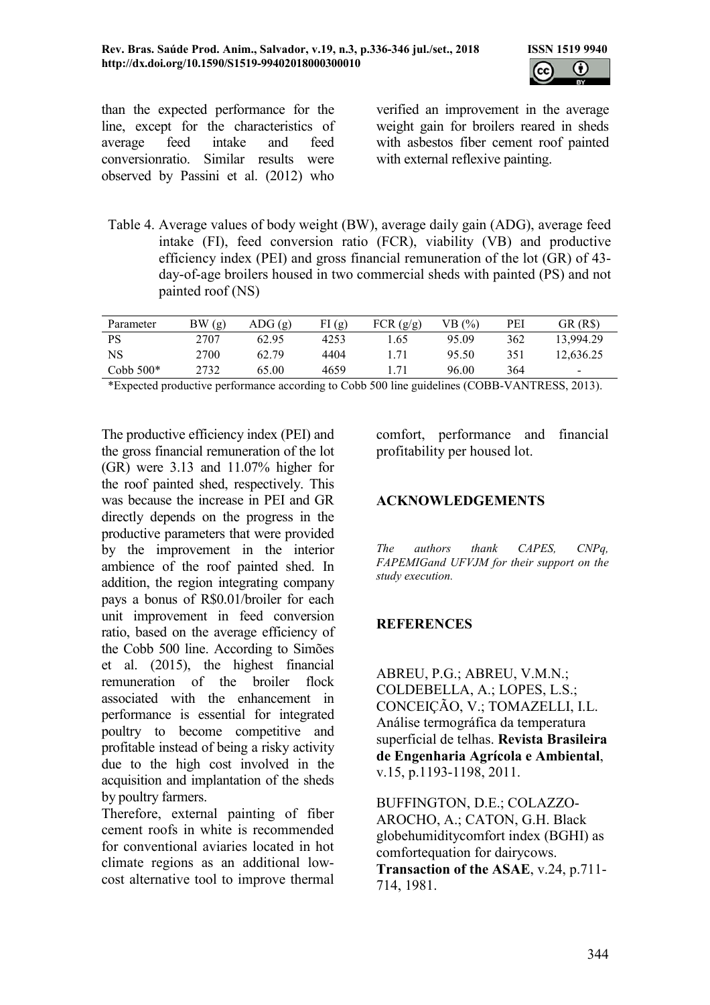

than the expected performance for the line, except for the characteristics of average feed intake and feed conversionratio. Similar results were observed by Passini et al. (2012) who

verified an improvement in the average weight gain for broilers reared in sheds with asbestos fiber cement roof painted with external reflexive painting.

Table 4. Average values of body weight (BW), average daily gain (ADG), average feed intake (FI), feed conversion ratio (FCR), viability (VB) and productive efficiency index (PEI) and gross financial remuneration of the lot (GR) of 43 day-of-age broilers housed in two commercial sheds with painted (PS) and not painted roof (NS)

| Parameter   | BW(g) | $\text{ADG}(\mathfrak{g})$ | FI(g) | FCR(g/g) | VB(%) | PEI | GR (R\$)                 |
|-------------|-------|----------------------------|-------|----------|-------|-----|--------------------------|
| <b>PS</b>   | 2707  | 62.95                      | 4253  | 1.65     | 95.09 | 362 | 13.994.29                |
| NS          | 2700  | 62.79                      | 4404  |          | 95.50 | 351 | 12,636.25                |
| Cobb $500*$ | 2732  | 65.00                      | 4659  |          | 96.00 | 364 | $\overline{\phantom{a}}$ |

\*Expected productive performance according to Cobb 500 line guidelines (COBB-VANTRESS, 2013).

The productive efficiency index (PEI) and the gross financial remuneration of the lot (GR) were 3.13 and 11.07% higher for the roof painted shed, respectively. This was because the increase in PEI and GR directly depends on the progress in the productive parameters that were provided by the improvement in the interior ambience of the roof painted shed. In addition, the region integrating company pays a bonus of R\$0.01/broiler for each unit improvement in feed conversion ratio, based on the average efficiency of the Cobb 500 line. According to Simões et al. (2015), the highest financial remuneration of the broiler flock associated with the enhancement in performance is essential for integrated poultry to become competitive and profitable instead of being a risky activity due to the high cost involved in the acquisition and implantation of the sheds by poultry farmers.

Therefore, external painting of fiber cement roofs in white is recommended for conventional aviaries located in hot climate regions as an additional lowcost alternative tool to improve thermal comfort, performance and financial profitability per housed lot.

#### ACKNOWLEDGEMENTS

The authors thank CAPES, CNPq, FAPEMIGand UFVJM for their support on the study execution.

## **REFERENCES**

ABREU, P.G.; ABREU, V.M.N.; COLDEBELLA, A.; LOPES, L.S.; CONCEIÇÃO, V.; TOMAZELLI, I.L. Análise termográfica da temperatura superficial de telhas. Revista Brasileira de Engenharia Agrícola e Ambiental, v.15, p.1193-1198, 2011.

BUFFINGTON, D.E.; COLAZZO-AROCHO, A.; CATON, G.H. Black globehumiditycomfort index (BGHI) as comfortequation for dairycows. Transaction of the ASAE, v.24, p.711- 714, 1981.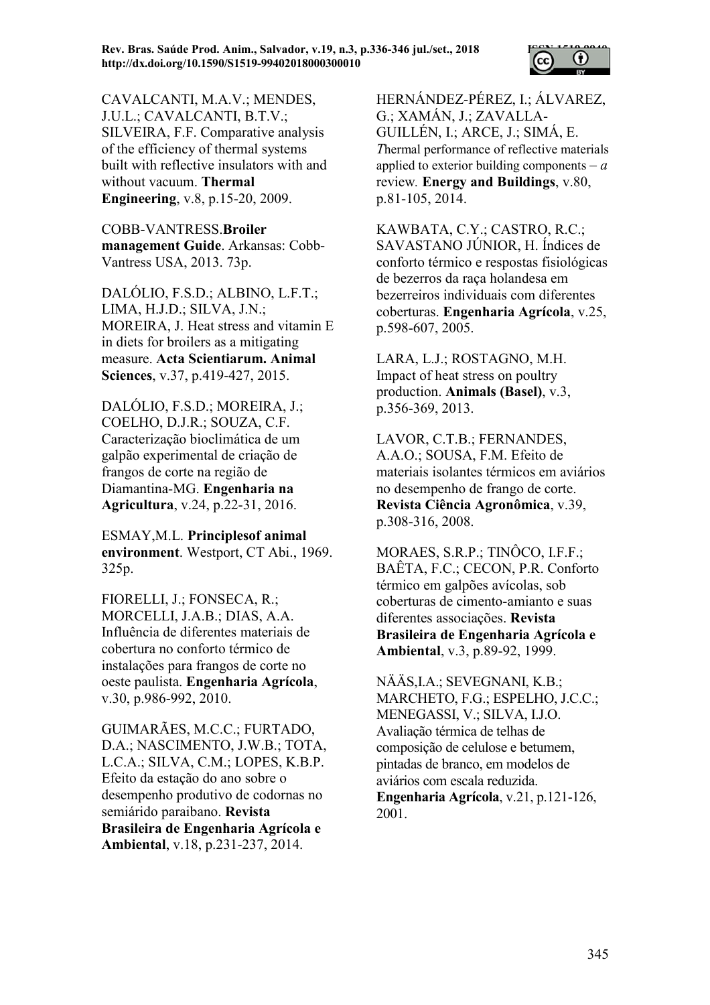

CAVALCANTI, M.A.V.; MENDES, J.U.L.; CAVALCANTI, B.T.V.; SILVEIRA, F.F. Comparative analysis of the efficiency of thermal systems built with reflective insulators with and without vacuum. Thermal Engineering, v.8, p.15-20, 2009.

COBB-VANTRESS.Broiler management Guide. Arkansas: Cobb-Vantress USA, 2013. 73p.

DALÓLIO, F.S.D.; ALBINO, L.F.T.; LIMA, H.J.D.; SILVA, J.N.; MOREIRA, J. Heat stress and vitamin E in diets for broilers as a mitigating measure. Acta Scientiarum. Animal Sciences, v.37, p.419-427, 2015.

DALÓLIO, F.S.D.; MOREIRA, J.; COELHO, D.J.R.; SOUZA, C.F. Caracterização bioclimática de um galpão experimental de criação de frangos de corte na região de Diamantina-MG. Engenharia na Agricultura, v.24, p.22-31, 2016.

ESMAY,M.L. Principlesof animal environment. Westport, CT Abi., 1969. 325p.

FIORELLI, J.; FONSECA, R.; MORCELLI, J.A.B.; DIAS, A.A. Influência de diferentes materiais de cobertura no conforto térmico de instalações para frangos de corte no oeste paulista. Engenharia Agrícola, v.30, p.986-992, 2010.

GUIMARÃES, M.C.C.; FURTADO, D.A.; NASCIMENTO, J.W.B.; TOTA, L.C.A.; SILVA, C.M.; LOPES, K.B.P. Efeito da estação do ano sobre o desempenho produtivo de codornas no semiárido paraibano. Revista Brasileira de Engenharia Agrícola e Ambiental, v.18, p.231-237, 2014.

HERNÁNDEZ-PÉREZ, I.; ÁLVAREZ, G.; XAMÁN, J.; ZAVALLA-GUILLÉN, I.; ARCE, J.; SIMÁ, E. Thermal performance of reflective materials applied to exterior building components  $-a$ review. Energy and Buildings, v.80, p.81-105, 2014.

KAWBATA, C.Y.; CASTRO, R.C.; SAVASTANO JÚNIOR, H. Índices de conforto térmico e respostas fisiológicas de bezerros da raça holandesa em bezerreiros individuais com diferentes coberturas. Engenharia Agrícola, v.25, p.598-607, 2005.

LARA, L.J.; ROSTAGNO, M.H. Impact of heat stress on poultry production. Animals (Basel), v.3, p.356-369, 2013.

LAVOR, C.T.B.; FERNANDES, A.A.O.; SOUSA, F.M. Efeito de materiais isolantes térmicos em aviários no desempenho de frango de corte. Revista Ciência Agronômica, v.39, p.308-316, 2008.

MORAES, S.R.P.; TINÔCO, I.F.F.; BAÊTA, F.C.; CECON, P.R. Conforto térmico em galpões avícolas, sob coberturas de cimento-amianto e suas diferentes associações. Revista Brasileira de Engenharia Agrícola e Ambiental, v.3, p.89-92, 1999.

NÄÄS,I.A.; SEVEGNANI, K.B.; MARCHETO, F.G.; ESPELHO, J.C.C.; MENEGASSI, V.; SILVA, I.J.O. Avaliação térmica de telhas de composição de celulose e betumem, pintadas de branco, em modelos de aviários com escala reduzida. Engenharia Agrícola, v.21, p.121-126, 2001.